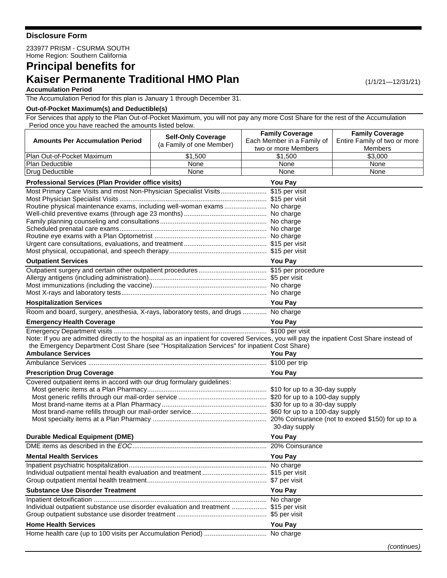## **Disclosure Form**

233977 PRISM - CSURMA SOUTH Home Region: Southern California

# **Principal benefits for Kaiser Permanente Traditional HMO Plan** (1/1/21-12/31/21)

### **Accumulation Period**

The Accumulation Period for this plan is January 1 through December 31.

#### **Out-of-Pocket Maximum(s) and Deductible(s)**

For Services that apply to the Plan Out-of-Pocket Maximum, you will not pay any more Cost Share for the rest of the Accumulation Period once you have reached the amounts listed below.

|                                                                                                                                                          | <b>Self-Only Coverage</b>                      | <b>Family Coverage</b>     | <b>Family Coverage</b>       |  |
|----------------------------------------------------------------------------------------------------------------------------------------------------------|------------------------------------------------|----------------------------|------------------------------|--|
| <b>Amounts Per Accumulation Period</b>                                                                                                                   | (a Family of one Member)                       | Each Member in a Family of | Entire Family of two or more |  |
|                                                                                                                                                          |                                                | two or more Members        | Members                      |  |
| Plan Out-of-Pocket Maximum                                                                                                                               | \$1,500                                        | \$1,500                    | \$3,000                      |  |
| Plan Deductible                                                                                                                                          | None                                           | None                       | None                         |  |
| Drug Deductible                                                                                                                                          | None                                           | None                       | None                         |  |
| Professional Services (Plan Provider office visits)<br><b>You Pay</b>                                                                                    |                                                |                            |                              |  |
| Most Primary Care Visits and most Non-Physician Specialist Visits \$15 per visit                                                                         |                                                |                            |                              |  |
|                                                                                                                                                          |                                                |                            |                              |  |
| Routine physical maintenance exams, including well-woman exams No charge                                                                                 |                                                |                            |                              |  |
|                                                                                                                                                          |                                                |                            |                              |  |
|                                                                                                                                                          |                                                |                            |                              |  |
|                                                                                                                                                          |                                                |                            |                              |  |
|                                                                                                                                                          |                                                |                            |                              |  |
|                                                                                                                                                          |                                                |                            |                              |  |
| <b>Outpatient Services</b>                                                                                                                               | <b>You Pay</b>                                 |                            |                              |  |
|                                                                                                                                                          |                                                |                            |                              |  |
|                                                                                                                                                          |                                                |                            |                              |  |
|                                                                                                                                                          |                                                |                            |                              |  |
|                                                                                                                                                          |                                                |                            |                              |  |
| <b>Hospitalization Services</b>                                                                                                                          |                                                | <b>You Pay</b>             |                              |  |
| Room and board, surgery, anesthesia, X-rays, laboratory tests, and drugs  No charge                                                                      |                                                |                            |                              |  |
| <b>Emergency Health Coverage</b><br><u> 1980 - Johann Barn, amerikan bestemannten bestemannten bestemannten bestemannten bestemannten bestemannten b</u> |                                                | You Pay                    |                              |  |
|                                                                                                                                                          |                                                |                            |                              |  |
| Note: If you are admitted directly to the hospital as an inpatient for covered Services, you will pay the inpatient Cost Share instead of                |                                                |                            |                              |  |
| the Emergency Department Cost Share (see "Hospitalization Services" for inpatient Cost Share)                                                            |                                                |                            |                              |  |
| <b>Ambulance Services</b>                                                                                                                                |                                                | <b>You Pay</b>             |                              |  |
|                                                                                                                                                          |                                                |                            |                              |  |
| <b>Prescription Drug Coverage</b>                                                                                                                        | <b>You Pay</b>                                 |                            |                              |  |
| Covered outpatient items in accord with our drug formulary guidelines:                                                                                   |                                                |                            |                              |  |
|                                                                                                                                                          |                                                |                            |                              |  |
|                                                                                                                                                          |                                                |                            |                              |  |
|                                                                                                                                                          |                                                |                            |                              |  |
|                                                                                                                                                          |                                                |                            |                              |  |
|                                                                                                                                                          |                                                | 30-day supply              |                              |  |
| <b>Durable Medical Equipment (DME)</b>                                                                                                                   |                                                | <b>You Pay</b>             |                              |  |
|                                                                                                                                                          |                                                |                            |                              |  |
| <b>Mental Health Services</b>                                                                                                                            |                                                | You Pay                    |                              |  |
|                                                                                                                                                          |                                                |                            |                              |  |
|                                                                                                                                                          |                                                |                            |                              |  |
|                                                                                                                                                          |                                                |                            |                              |  |
| <b>Substance Use Disorder Treatment</b>                                                                                                                  | <u> 1989 - Jan Sterling Sterling (f. 1989)</u> | <b>You Pay</b>             |                              |  |
|                                                                                                                                                          |                                                |                            |                              |  |
| Individual outpatient substance use disorder evaluation and treatment  \$15 per visit                                                                    |                                                |                            |                              |  |
|                                                                                                                                                          |                                                |                            |                              |  |
| <b>Home Health Services</b>                                                                                                                              | <b>You Pay</b>                                 |                            |                              |  |
|                                                                                                                                                          |                                                |                            |                              |  |